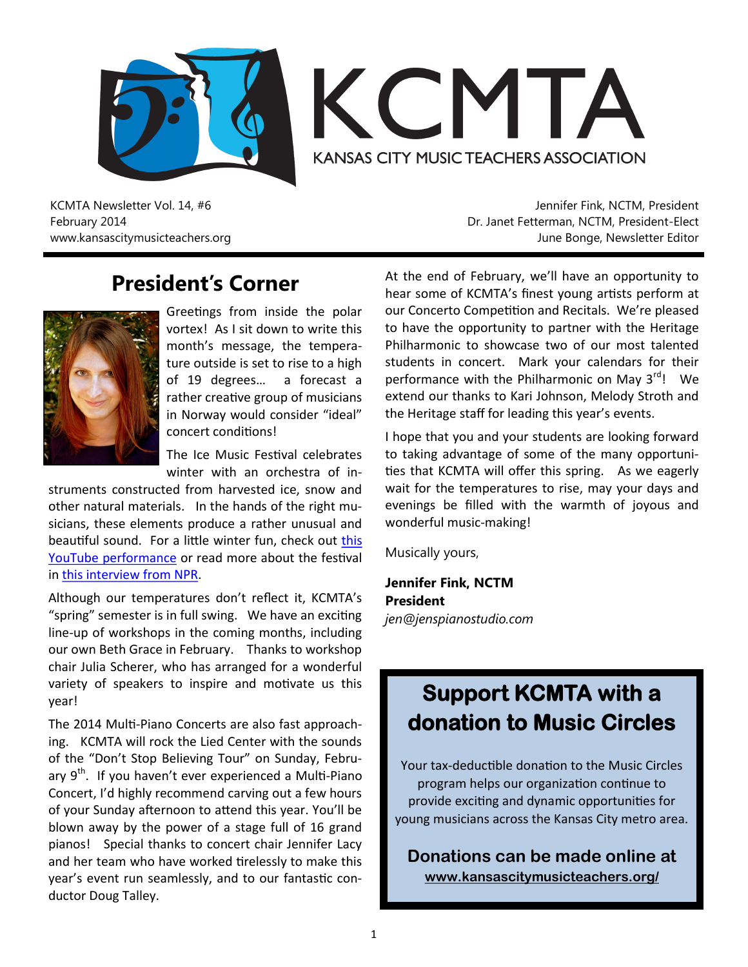



KCMTA Newsletter Vol. 14, #6 February 2014 www.kansascitymusicteachers.org

Jennifer Fink, NCTM, President Dr. Janet Fetterman, NCTM, President-Elect June Bonge, Newsletter Editor

## **President's Corner**



Greetings from inside the polar vortex! As I sit down to write this month's message, the temperature outside is set to rise to a high of 19 degrees… a forecast a rather creative group of musicians in Norway would consider "ideal" concert conditions!

The Ice Music Festival celebrates winter with an orchestra of in-

struments constructed from harvested ice, snow and other natural materials. In the hands of the right musicians, these elements produce a rather unusual and beautiful sound. For a little winter fun, check out [this](http://youtu.be/FFgwg8elMVc)  [YouTube performance](http://youtu.be/FFgwg8elMVc) or read more about the festival in [this interview from NPR.](http://www.npr.org/2014/01/21/264399959/ice-musical-festival)

Although our temperatures don't reflect it, KCMTA's "spring" semester is in full swing. We have an exciting line-up of workshops in the coming months, including our own Beth Grace in February. Thanks to workshop chair Julia Scherer, who has arranged for a wonderful variety of speakers to inspire and motivate us this year!

The 2014 Multi-Piano Concerts are also fast approaching. KCMTA will rock the Lied Center with the sounds of the "Don't Stop Believing Tour" on Sunday, February  $9<sup>th</sup>$ . If you haven't ever experienced a Multi-Piano Concert, I'd highly recommend carving out a few hours of your Sunday afternoon to attend this year. You'll be blown away by the power of a stage full of 16 grand pianos! Special thanks to concert chair Jennifer Lacy and her team who have worked tirelessly to make this year's event run seamlessly, and to our fantastic conductor Doug Talley.

At the end of February, we'll have an opportunity to hear some of KCMTA's finest young artists perform at our Concerto Competition and Recitals. We're pleased to have the opportunity to partner with the Heritage Philharmonic to showcase two of our most talented students in concert. Mark your calendars for their performance with the Philharmonic on May  $3^{rd}$ ! We extend our thanks to Kari Johnson, Melody Stroth and the Heritage staff for leading this year's events.

I hope that you and your students are looking forward to taking advantage of some of the many opportunities that KCMTA will offer this spring. As we eagerly wait for the temperatures to rise, may your days and evenings be filled with the warmth of joyous and wonderful music-making!

Musically yours,

**Jennifer Fink, NCTM President** *jen@jenspianostudio.com*

# **Support KCMTA with a donation to Music Circles**

Your tax-deductible donation to the Music Circles program helps our organization continue to provide exciting and dynamic opportunities for young musicians across the Kansas City metro area.

**Donations can be made online at [www.kansascitymusicteachers.org/](http://kansascitymusicteachers.org/contribute)**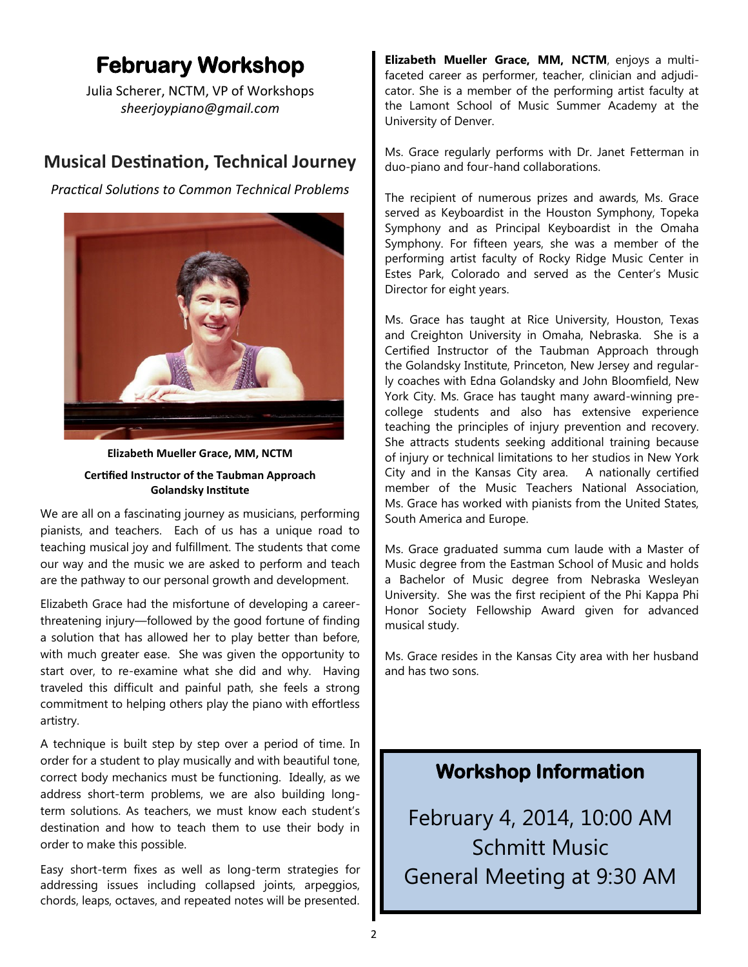# **February Workshop**

Julia Scherer, NCTM, VP of Workshops *sheerjoypiano@gmail.com*

### **Musical Destination, Technical Journey**

*Practical Solutions to Common Technical Problems*



**Elizabeth Mueller Grace, MM, NCTM Certified Instructor of the Taubman Approach Golandsky Institute**

We are all on a fascinating journey as musicians, performing pianists, and teachers. Each of us has a unique road to teaching musical joy and fulfillment. The students that come our way and the music we are asked to perform and teach are the pathway to our personal growth and development.

Elizabeth Grace had the misfortune of developing a careerthreatening injury—followed by the good fortune of finding a solution that has allowed her to play better than before, with much greater ease. She was given the opportunity to start over, to re-examine what she did and why. Having traveled this difficult and painful path, she feels a strong commitment to helping others play the piano with effortless artistry.

A technique is built step by step over a period of time. In order for a student to play musically and with beautiful tone, correct body mechanics must be functioning. Ideally, as we address short-term problems, we are also building longterm solutions. As teachers, we must know each student's destination and how to teach them to use their body in order to make this possible.

Easy short-term fixes as well as long-term strategies for addressing issues including collapsed joints, arpeggios, chords, leaps, octaves, and repeated notes will be presented.

**Elizabeth Mueller Grace, MM, NCTM**, enjoys a multifaceted career as performer, teacher, clinician and adjudicator. She is a member of the performing artist faculty at the Lamont School of Music Summer Academy at the University of Denver.

Ms. Grace regularly performs with Dr. Janet Fetterman in duo-piano and four-hand collaborations.

The recipient of numerous prizes and awards, Ms. Grace served as Keyboardist in the Houston Symphony, Topeka Symphony and as Principal Keyboardist in the Omaha Symphony. For fifteen years, she was a member of the performing artist faculty of Rocky Ridge Music Center in Estes Park, Colorado and served as the Center's Music Director for eight years.

Ms. Grace has taught at Rice University, Houston, Texas and Creighton University in Omaha, Nebraska. She is a Certified Instructor of the Taubman Approach through the Golandsky Institute, Princeton, New Jersey and regularly coaches with Edna Golandsky and John Bloomfield, New York City. Ms. Grace has taught many award-winning precollege students and also has extensive experience teaching the principles of injury prevention and recovery. She attracts students seeking additional training because of injury or technical limitations to her studios in New York City and in the Kansas City area. A nationally certified member of the Music Teachers National Association, Ms. Grace has worked with pianists from the United States, South America and Europe.

Ms. Grace graduated summa cum laude with a Master of Music degree from the Eastman School of Music and holds a Bachelor of Music degree from Nebraska Wesleyan University. She was the first recipient of the Phi Kappa Phi Honor Society Fellowship Award given for advanced musical study.

Ms. Grace resides in the Kansas City area with her husband and has two sons.

### **Workshop Information**

February 4, 2014, 10:00 AM Schmitt Music General Meeting at 9:30 AM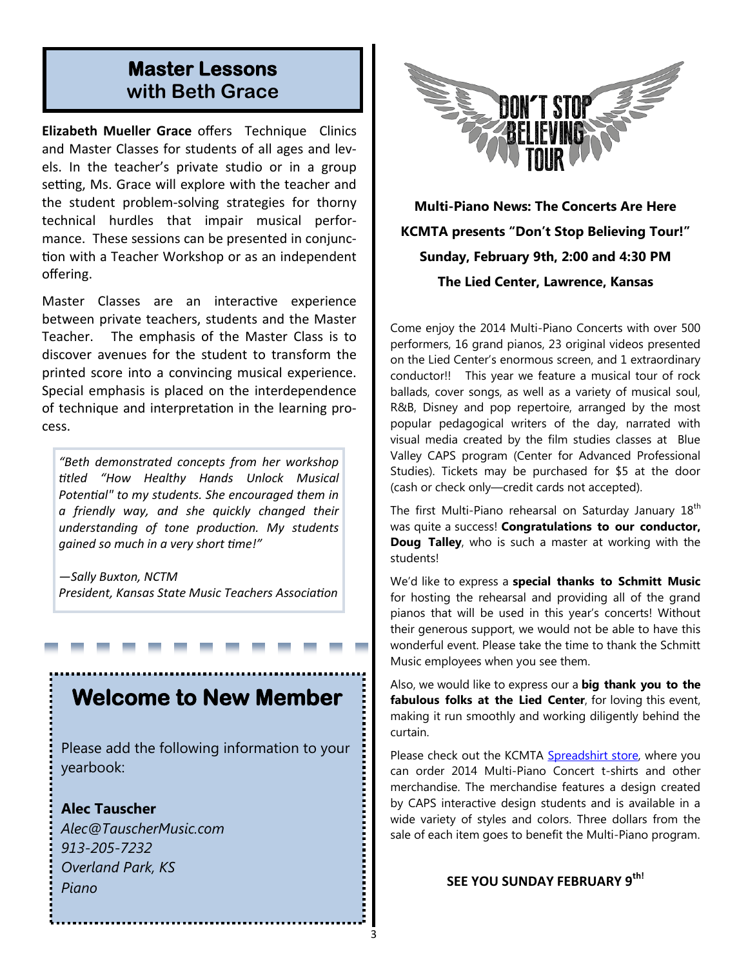### **Master Lessons with Beth Grace**

**Elizabeth Mueller Grace** offers Technique Clinics and Master Classes for students of all ages and levels. In the teacher's private studio or in a group setting, Ms. Grace will explore with the teacher and the student problem-solving strategies for thorny technical hurdles that impair musical performance. These sessions can be presented in conjunction with a Teacher Workshop or as an independent offering.

Master Classes are an interactive experience between private teachers, students and the Master Teacher. The emphasis of the Master Class is to discover avenues for the student to transform the printed score into a convincing musical experience. Special emphasis is placed on the interdependence of technique and interpretation in the learning process.

*"Beth demonstrated concepts from her workshop titled "How Healthy Hands Unlock Musical Potential" to my students. She encouraged them in a friendly way, and she quickly changed their understanding of tone production. My students gained so much in a very short time!"*

*—Sally Buxton, NCTM President, Kansas State Music Teachers Association*

## **Welcome to New Member**

Please add the following information to your yearbook:

### **Alec Tauscher**

*Alec@TauscherMusic.com 913-205-7232 Overland Park, KS Piano*



**Multi-Piano News: The Concerts Are Here KCMTA presents "Don't Stop Believing Tour!" Sunday, February 9th, 2:00 and 4:30 PM The Lied Center, Lawrence, Kansas**

Come enjoy the 2014 Multi-Piano Concerts with over 500 performers, 16 grand pianos, 23 original videos presented on the Lied Center's enormous screen, and 1 extraordinary conductor!! This year we feature a musical tour of rock ballads, cover songs, as well as a variety of musical soul, R&B, Disney and pop repertoire, arranged by the most popular pedagogical writers of the day, narrated with visual media created by the film studies classes at Blue Valley CAPS program (Center for Advanced Professional Studies). Tickets may be purchased for \$5 at the door (cash or check only—credit cards not accepted).

The first Multi-Piano rehearsal on Saturday January 18<sup>th</sup> was quite a success! **Congratulations to our conductor, Doug Talley**, who is such a master at working with the students!

We'd like to express a **special thanks to Schmitt Music** for hosting the rehearsal and providing all of the grand pianos that will be used in this year's concerts! Without their generous support, we would not be able to have this wonderful event. Please take the time to thank the Schmitt Music employees when you see them.

Also, we would like to express our a **big thank you to the fabulous folks at the Lied Center**, for loving this event, making it run smoothly and working diligently behind the curtain.

Please check out the KCMTA [Spreadshirt store,](http://www.mp-kcmta.spreadshirt.com) where you can order 2014 Multi-Piano Concert t-shirts and other merchandise. The merchandise features a design created by CAPS interactive design students and is available in a wide variety of styles and colors. Three dollars from the sale of each item goes to benefit the Multi-Piano program.

### **SEE YOU SUNDAY FEBRUARY 9th!**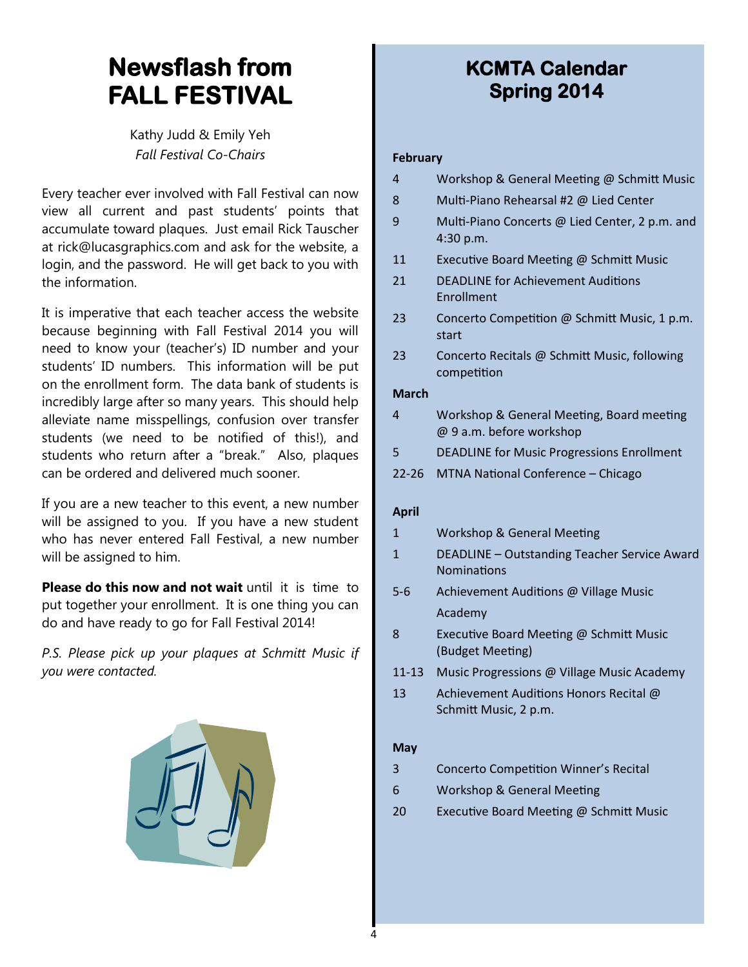# **Newsflash from FALL FESTIVAL**

Kathy Judd & Emily Yeh *Fall Festival Co-Chairs*

Every teacher ever involved with Fall Festival can now view all current and past students' points that accumulate toward plaques. Just email Rick Tauscher at rick@lucasgraphics.com and ask for the website, a login, and the password. He will get back to you with the information.

It is imperative that each teacher access the website because beginning with Fall Festival 2014 you will need to know your (teacher's) ID number and your students' ID numbers. This information will be put on the enrollment form. The data bank of students is incredibly large after so many years. This should help alleviate name misspellings, confusion over transfer students (we need to be notified of this!), and students who return after a "break." Also, plaques can be ordered and delivered much sooner.

If you are a new teacher to this event, a new number will be assigned to you. If you have a new student who has never entered Fall Festival, a new number will be assigned to him.

**Please do this now and not wait** until it is time to put together your enrollment. It is one thing you can do and have ready to go for Fall Festival 2014!

*P.S. Please pick up your plaques at Schmitt Music if you were contacted.*



## **KCMTA Calendar Spring 2014**

#### **February**

|  |  | Workshop & General Meeting @ Schmitt Music |
|--|--|--------------------------------------------|
|  |  |                                            |

- 8 Multi-Piano Rehearsal #2 @ Lied Center
- 9 Multi-Piano Concerts @ Lied Center, 2 p.m. and 4:30 p.m.
- 11 Executive Board Meeting @ Schmitt Music
- 21 DEADLINE for Achievement Auditions Enrollment
- 23 Concerto Competition @ Schmitt Music, 1 p.m. start
- 23 Concerto Recitals @ Schmitt Music, following competition

#### **March**

- 4 Workshop & General Meeting, Board meeting @ 9 a.m. before workshop
- 5 DEADLINE for Music Progressions Enrollment
- 22-26 MTNA National Conference Chicago

### **April**

- 1 Workshop & General Meeting
- 1 DEADLINE Outstanding Teacher Service Award Nominations
- 5-6 Achievement Auditions @ Village Music Academy
- 8 Executive Board Meeting @ Schmitt Music (Budget Meeting)
- 11-13 Music Progressions @ Village Music Academy
- 13 Achievement Auditions Honors Recital @ Schmitt Music, 2 p.m.

### **May**

- 3 Concerto Competition Winner's Recital
- 6 Workshop & General Meeting
- 20 Executive Board Meeting @ Schmitt Music